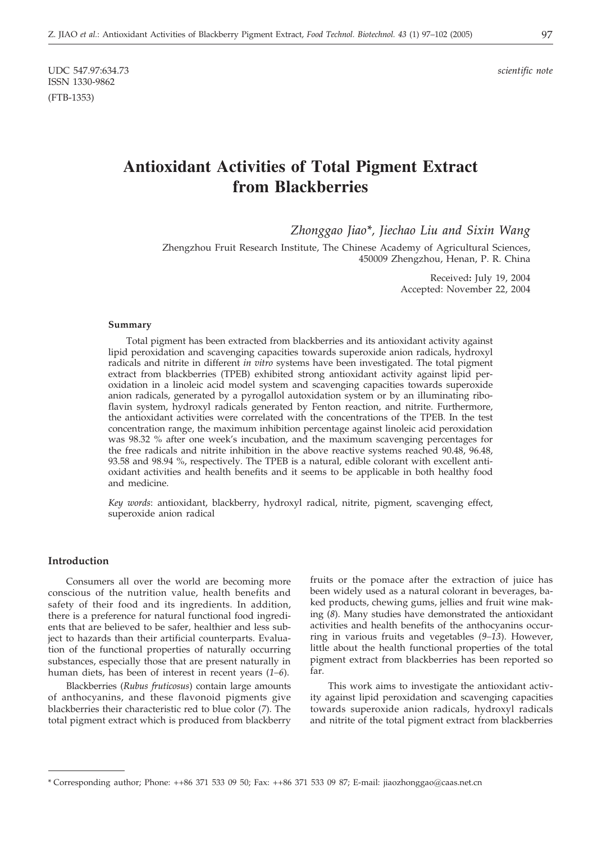UDC 547.97:634.73 *scientific note* ISSN 1330-9862 (FTB-1353)

# **Antioxidant Activities of Total Pigment Extract from Blackberries**

*Zhonggao Jiao\*, Jiechao Liu and Sixin Wang*

Zhengzhou Fruit Research Institute, The Chinese Academy of Agricultural Sciences, 450009 Zhengzhou, Henan, P. R. China

> Received**:** July 19, 2004 Accepted: November 22, 2004

#### **Summary**

Total pigment has been extracted from blackberries and its antioxidant activity against lipid peroxidation and scavenging capacities towards superoxide anion radicals, hydroxyl radicals and nitrite in different *in vitro* systems have been investigated. The total pigment extract from blackberries (TPEB) exhibited strong antioxidant activity against lipid peroxidation in a linoleic acid model system and scavenging capacities towards superoxide anion radicals, generated by a pyrogallol autoxidation system or by an illuminating riboflavin system, hydroxyl radicals generated by Fenton reaction, and nitrite. Furthermore, the antioxidant activities were correlated with the concentrations of the TPEB. In the test concentration range, the maximum inhibition percentage against linoleic acid peroxidation was 98.32 % after one week's incubation, and the maximum scavenging percentages for the free radicals and nitrite inhibition in the above reactive systems reached 90.48, 96.48, 93.58 and 98.94 %, respectively. The TPEB is a natural, edible colorant with excellent antioxidant activities and health benefits and it seems to be applicable in both healthy food and medicine.

*Key words*: antioxidant, blackberry, hydroxyl radical, nitrite, pigment, scavenging effect, superoxide anion radical

#### **Introduction**

Consumers all over the world are becoming more conscious of the nutrition value, health benefits and safety of their food and its ingredients. In addition, there is a preference for natural functional food ingredients that are believed to be safer, healthier and less subject to hazards than their artificial counterparts. Evaluation of the functional properties of naturally occurring substances, especially those that are present naturally in human diets, has been of interest in recent years (*1–6*).

Blackberries (*Rubus fruticosus*) contain large amounts of anthocyanins, and these flavonoid pigments give blackberries their characteristic red to blue color (*7*). The total pigment extract which is produced from blackberry fruits or the pomace after the extraction of juice has been widely used as a natural colorant in beverages, baked products, chewing gums, jellies and fruit wine making (*8*). Many studies have demonstrated the antioxidant activities and health benefits of the anthocyanins occurring in various fruits and vegetables (*9–13*). However, little about the health functional properties of the total pigment extract from blackberries has been reported so far.

This work aims to investigate the antioxidant activity against lipid peroxidation and scavenging capacities towards superoxide anion radicals, hydroxyl radicals and nitrite of the total pigment extract from blackberries

<sup>\*</sup> Corresponding author; Phone: ++86 371 533 09 50; Fax: ++86 371 533 09 87; E-mail: jiaozhonggao@caas.net.cn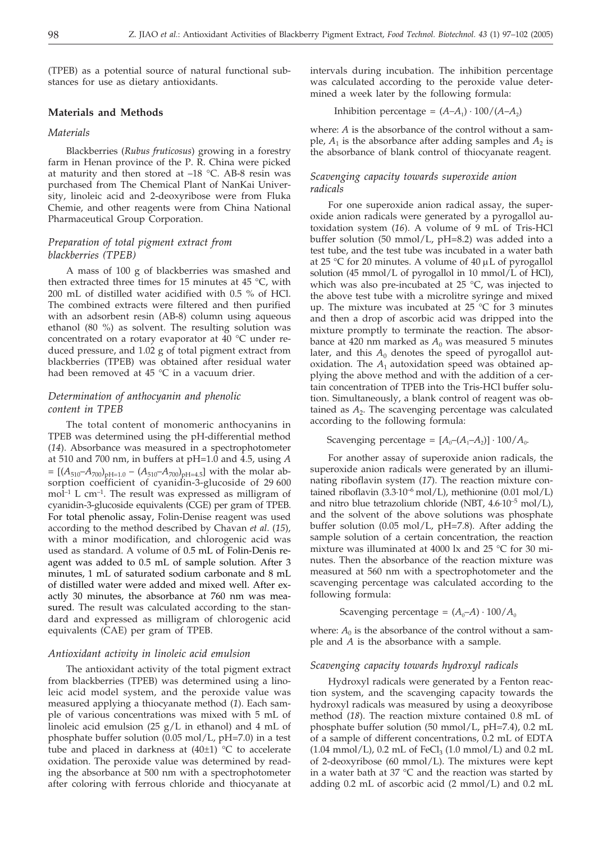(TPEB) as a potential source of natural functional substances for use as dietary antioxidants.

# **Materials and Methods**

#### *Materials*

Blackberries (*Rubus fruticosus*) growing in a forestry farm in Henan province of the P. R. China were picked at maturity and then stored at –18 °C. AB-8 resin was purchased from The Chemical Plant of NanKai University, linoleic acid and 2-deoxyribose were from Fluka Chemie, and other reagents were from China National Pharmaceutical Group Corporation.

# *Preparation of total pigment extract from blackberries (TPEB)*

A mass of 100 g of blackberries was smashed and then extracted three times for 15 minutes at 45 °C, with 200 mL of distilled water acidified with 0.5 % of HCl. The combined extracts were filtered and then purified with an adsorbent resin (AB-8) column using aqueous ethanol (80 %) as solvent. The resulting solution was concentrated on a rotary evaporator at 40 °C under reduced pressure, and 1.02 g of total pigment extract from blackberries (TPEB) was obtained after residual water had been removed at 45 °C in a vacuum drier.

# *Determination of anthocyanin and phenolic content in TPEB*

The total content of monomeric anthocyanins in TPEB was determined using the pH-differential method (*14*). Absorbance was measured in a spectrophotometer at 510 and 700 nm, in buffers at pH=1.0 and 4.5, using *A*  $= [(A_{510}-A_{700})_{\text{pH}=1.0} - (A_{510}-A_{700})_{\text{pH}=4.5}]$  with the molar absorption coefficient of cyanidin-3-glucoside of 29 600  $mol<sup>-1</sup>$  L cm<sup>-1</sup>. The result was expressed as milligram of cyanidin-3-glucoside equivalents (CGE) per gram of TPEB. For total phenolic assay, Folin-Denise reagent was used according to the method described by Chavan *et al*. (*15*), with a minor modification, and chlorogenic acid was used as standard. A volume of 0.5 mL of Folin-Denis reagent was added to 0.5 mL of sample solution. After 3 minutes, 1 mL of saturated sodium carbonate and 8 mL of distilled water were added and mixed well. After exactly 30 minutes, the absorbance at 760 nm was measured. The result was calculated according to the standard and expressed as milligram of chlorogenic acid equivalents (CAE) per gram of TPEB.

#### *Antioxidant activity in linoleic acid emulsion*

The antioxidant activity of the total pigment extract from blackberries (TPEB) was determined using a linoleic acid model system, and the peroxide value was measured applying a thiocyanate method (*1*). Each sample of various concentrations was mixed with 5 mL of linoleic acid emulsion  $(25 \text{ g/L}$  in ethanol) and 4 mL of phosphate buffer solution (0.05 mol/L, pH=7.0) in a test tube and placed in darkness at  $(40\pm1)$  °C to accelerate oxidation. The peroxide value was determined by reading the absorbance at 500 nm with a spectrophotometer after coloring with ferrous chloride and thiocyanate at intervals during incubation. The inhibition percentage was calculated according to the peroxide value determined a week later by the following formula:

Inhibition percentage =  $(A-A_1) \cdot 100/(A-A_2)$ 

where: *A* is the absorbance of the control without a sample,  $A_1$  is the absorbance after adding samples and  $A_2$  is the absorbance of blank control of thiocyanate reagent.

# *Scavenging capacity towards superoxide anion radicals*

For one superoxide anion radical assay, the superoxide anion radicals were generated by a pyrogallol autoxidation system (*16*). A volume of 9 mL of Tris-HCl buffer solution (50 mmol/L, pH=8.2) was added into a test tube, and the test tube was incubated in a water bath at 25 °C for 20 minutes. A volume of 40  $\mu$ L of pyrogallol solution (45 mmol/L of pyrogallol in 10 mmol/L of HCl), which was also pre-incubated at 25 °C, was injected to the above test tube with a microlitre syringe and mixed up. The mixture was incubated at  $25^{\circ}$ C for 3 minutes and then a drop of ascorbic acid was dripped into the mixture promptly to terminate the reaction. The absorbance at 420 nm marked as  $A_0$  was measured 5 minutes later, and this  $A_0$  denotes the speed of pyrogallol autoxidation. The  $A_1$  autoxidation speed was obtained applying the above method and with the addition of a certain concentration of TPEB into the Tris-HCl buffer solution. Simultaneously, a blank control of reagent was obtained as  $A_2$ . The scavenging percentage was calculated according to the following formula:

 $Scavending$  percentage =  $[A_0-(A_1-A_2)] \cdot 100/A_0$ .

For another assay of superoxide anion radicals, the superoxide anion radicals were generated by an illuminating riboflavin system (*17*). The reaction mixture contained riboflavin  $(3.3 \cdot 10^{-6} \text{ mol/L})$ , methionine  $(0.01 \text{ mol/L})$ and nitro blue tetrazolium chloride (NBT,  $4.6 \cdot 10^{-5}$  mol/L), and the solvent of the above solutions was phosphate buffer solution (0.05 mol/L, pH=7.8). After adding the sample solution of a certain concentration, the reaction mixture was illuminated at 4000 lx and 25 °C for 30 minutes. Then the absorbance of the reaction mixture was measured at 560 nm with a spectrophotometer and the scavenging percentage was calculated according to the following formula:

Scavenging percentage =  $(A_0-A) \cdot 100/A_0$ 

where:  $A_0$  is the absorbance of the control without a sample and *A* is the absorbance with a sample.

#### *Scavenging capacity towards hydroxyl radicals*

Hydroxyl radicals were generated by a Fenton reaction system, and the scavenging capacity towards the hydroxyl radicals was measured by using a deoxyribose method (*18*). The reaction mixture contained 0.8 mL of phosphate buffer solution (50 mmol/L, pH=7.4), 0.2 mL of a sample of different concentrations, 0.2 mL of EDTA  $(1.04 \text{ mmol/L})$ , 0.2 mL of FeCl<sub>3</sub>  $(1.0 \text{ mmol/L})$  and 0.2 mL of 2-deoxyribose (60 mmol/L). The mixtures were kept in a water bath at 37 $\degree$ C and the reaction was started by adding 0.2 mL of ascorbic acid (2 mmol/L) and 0.2 mL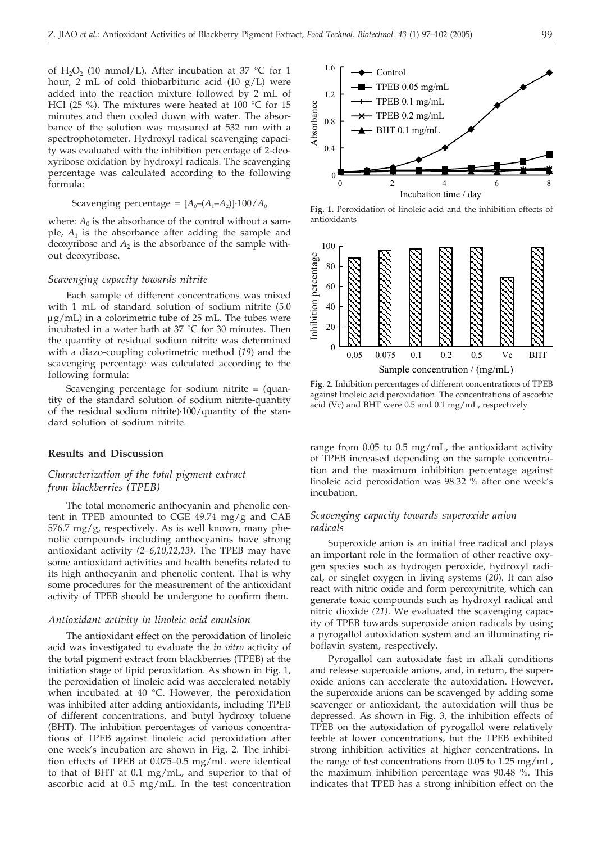of H<sub>2</sub>O<sub>2</sub> (10 mmol/L). After incubation at 37 °C for 1 hour, 2 mL of cold thiobarbituric acid (10 g/L) were added into the reaction mixture followed by 2 mL of HCl (25 %). The mixtures were heated at 100 °C for 15 minutes and then cooled down with water. The absorbance of the solution was measured at 532 nm with a spectrophotometer. Hydroxyl radical scavenging capacity was evaluated with the inhibition percentage of 2-deoxyribose oxidation by hydroxyl radicals. The scavenging percentage was calculated according to the following formula:

 $\text{Scavenging percentage} = [A_0-(A_1-A_2)]\cdot 100/A_0$ 

where:  $A_0$  is the absorbance of the control without a sample, *A*<sup>1</sup> is the absorbance after adding the sample and deoxyribose and  $A_2$  is the absorbance of the sample without deoxyribose.

# *Scavenging capacity towards nitrite*

Each sample of different concentrations was mixed with 1 mL of standard solution of sodium nitrite (5.0  $\mu$ g/mL) in a colorimetric tube of 25 mL. The tubes were incubated in a water bath at 37 °C for 30 minutes. Then the quantity of residual sodium nitrite was determined with a diazo-coupling colorimetric method (*19*) and the scavenging percentage was calculated according to the following formula:

Scavenging percentage for sodium nitrite = (quantity of the standard solution of sodium nitrite-quantity of the residual sodium nitrite)·100/quantity of the standard solution of sodium nitrite.

# **Results and Discussion**

# *Characterization of the total pigment extract from blackberries (TPEB)*

The total monomeric anthocyanin and phenolic content in TPEB amounted to CGE 49.74 mg/g and CAE 576.7 mg/g, respectively. As is well known, many phenolic compounds including anthocyanins have strong antioxidant activity *(2–6,10,12,13)*. The TPEB may have some antioxidant activities and health benefits related to its high anthocyanin and phenolic content. That is why some procedures for the measurement of the antioxidant activity of TPEB should be undergone to confirm them.

#### *Antioxidant activity in linoleic acid emulsion*

The antioxidant effect on the peroxidation of linoleic acid was investigated to evaluate the *in vitro* activity of the total pigment extract from blackberries (TPEB) at the initiation stage of lipid peroxidation. As shown in Fig. 1, the peroxidation of linoleic acid was accelerated notably when incubated at 40 °C. However, the peroxidation was inhibited after adding antioxidants, including TPEB of different concentrations, and butyl hydroxy toluene (BHT). The inhibition percentages of various concentrations of TPEB against linoleic acid peroxidation after one week's incubation are shown in Fig. 2. The inhibition effects of TPEB at 0.075–0.5 mg/mL were identical to that of BHT at 0.1 mg/mL, and superior to that of ascorbic acid at 0.5 mg/mL. In the test concentration



**Fig. 1.** Peroxidation of linoleic acid and the inhibition effects of antioxidants



**Fig. 2.** Inhibition percentages of different concentrations of TPEB against linoleic acid peroxidation. The concentrations of ascorbic acid (Vc) and BHT were 0.5 and 0.1 mg/mL, respectively

range from 0.05 to 0.5 mg/mL, the antioxidant activity of TPEB increased depending on the sample concentration and the maximum inhibition percentage against linoleic acid peroxidation was 98.32 % after one week's incubation.

# *Scavenging capacity towards superoxide anion radicals*

Superoxide anion is an initial free radical and plays an important role in the formation of other reactive oxygen species such as hydrogen peroxide, hydroxyl radical, or singlet oxygen in living systems (*20*). It can also react with nitric oxide and form peroxynitrite, which can generate toxic compounds such as hydroxyl radical and nitric dioxide *(21)*. We evaluated the scavenging capacity of TPEB towards superoxide anion radicals by using a pyrogallol autoxidation system and an illuminating riboflavin system, respectively.

Pyrogallol can autoxidate fast in alkali conditions and release superoxide anions, and, in return, the superoxide anions can accelerate the autoxidation. However, the superoxide anions can be scavenged by adding some scavenger or antioxidant, the autoxidation will thus be depressed. As shown in Fig. 3, the inhibition effects of TPEB on the autoxidation of pyrogallol were relatively feeble at lower concentrations, but the TPEB exhibited strong inhibition activities at higher concentrations. In the range of test concentrations from 0.05 to 1.25 mg/mL, the maximum inhibition percentage was 90.48 %. This indicates that TPEB has a strong inhibition effect on the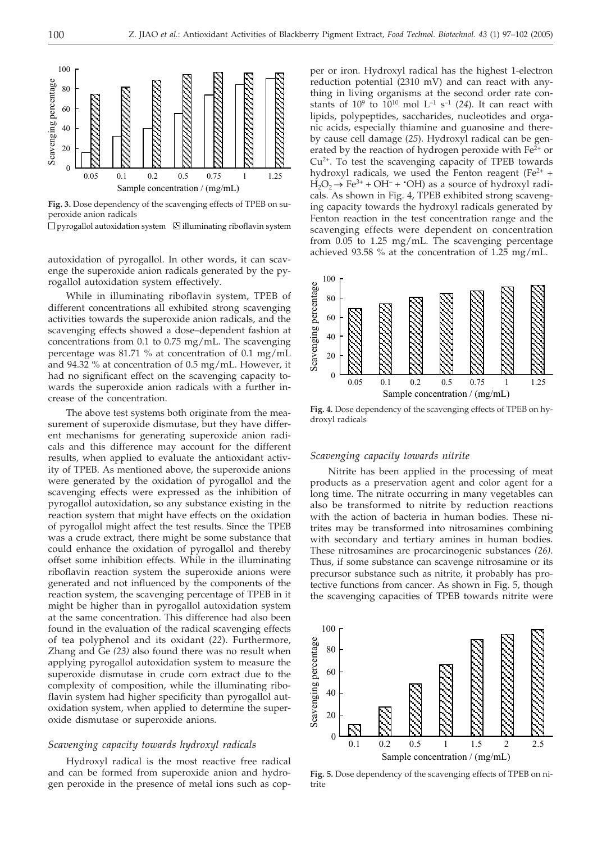

**Fig. 3.** Dose dependency of the scavenging effects of TPEB on superoxide anion radicals

 $\Box$  pyrogallol autoxidation system  $\Box$  illuminating riboflavin system

autoxidation of pyrogallol. In other words, it can scavenge the superoxide anion radicals generated by the pyrogallol autoxidation system effectively.

While in illuminating riboflavin system, TPEB of different concentrations all exhibited strong scavenging activities towards the superoxide anion radicals, and the scavenging effects showed a dose–dependent fashion at concentrations from 0.1 to 0.75 mg/mL. The scavenging percentage was 81.71 % at concentration of 0.1 mg/mL and 94.32 % at concentration of 0.5 mg/mL. However, it had no significant effect on the scavenging capacity towards the superoxide anion radicals with a further increase of the concentration.

The above test systems both originate from the measurement of superoxide dismutase, but they have different mechanisms for generating superoxide anion radicals and this difference may account for the different results, when applied to evaluate the antioxidant activity of TPEB. As mentioned above, the superoxide anions were generated by the oxidation of pyrogallol and the scavenging effects were expressed as the inhibition of pyrogallol autoxidation, so any substance existing in the reaction system that might have effects on the oxidation of pyrogallol might affect the test results. Since the TPEB was a crude extract, there might be some substance that could enhance the oxidation of pyrogallol and thereby offset some inhibition effects. While in the illuminating riboflavin reaction system the superoxide anions were generated and not influenced by the components of the reaction system, the scavenging percentage of TPEB in it might be higher than in pyrogallol autoxidation system at the same concentration. This difference had also been found in the evaluation of the radical scavenging effects of tea polyphenol and its oxidant (*22*). Furthermore, Zhang and Ge *(23)* also found there was no result when applying pyrogallol autoxidation system to measure the superoxide dismutase in crude corn extract due to the complexity of composition, while the illuminating riboflavin system had higher specificity than pyrogallol autoxidation system, when applied to determine the superoxide dismutase or superoxide anions.

#### *Scavenging capacity towards hydroxyl radicals*

Hydroxyl radical is the most reactive free radical and can be formed from superoxide anion and hydrogen peroxide in the presence of metal ions such as copper or iron. Hydroxyl radical has the highest 1-electron reduction potential (2310 mV) and can react with anything in living organisms at the second order rate constants of  $10^9$  to  $10^{10}$  mol  $L^{-1}$  s<sup>-1</sup> (24). It can react with lipids, polypeptides, saccharides, nucleotides and organic acids, especially thiamine and guanosine and thereby cause cell damage (*25*). Hydroxyl radical can be generated by the reaction of hydrogen peroxide with  $Fe<sup>2+</sup>$  or Cu2+. To test the scavenging capacity of TPEB towards hydroxyl radicals, we used the Fenton reagent ( $Fe<sup>2+</sup>$  +  $H_2O_2 \rightarrow Fe^{3+} + OH^- + OH$  as a source of hydroxyl radicals. As shown in Fig. 4, TPEB exhibited strong scavenging capacity towards the hydroxyl radicals generated by Fenton reaction in the test concentration range and the scavenging effects were dependent on concentration from 0.05 to 1.25 mg/mL. The scavenging percentage achieved 93.58 % at the concentration of 1.25 mg/mL.



**Fig. 4.** Dose dependency of the scavenging effects of TPEB on hydroxyl radicals

#### *Scavenging capacity towards nitrite*

Nitrite has been applied in the processing of meat products as a preservation agent and color agent for a long time. The nitrate occurring in many vegetables can also be transformed to nitrite by reduction reactions with the action of bacteria in human bodies. These nitrites may be transformed into nitrosamines combining with secondary and tertiary amines in human bodies. These nitrosamines are procarcinogenic substances *(26)*. Thus, if some substance can scavenge nitrosamine or its precursor substance such as nitrite, it probably has protective functions from cancer. As shown in Fig. 5, though the scavenging capacities of TPEB towards nitrite were



**Fig. 5.** Dose dependency of the scavenging effects of TPEB on nitrite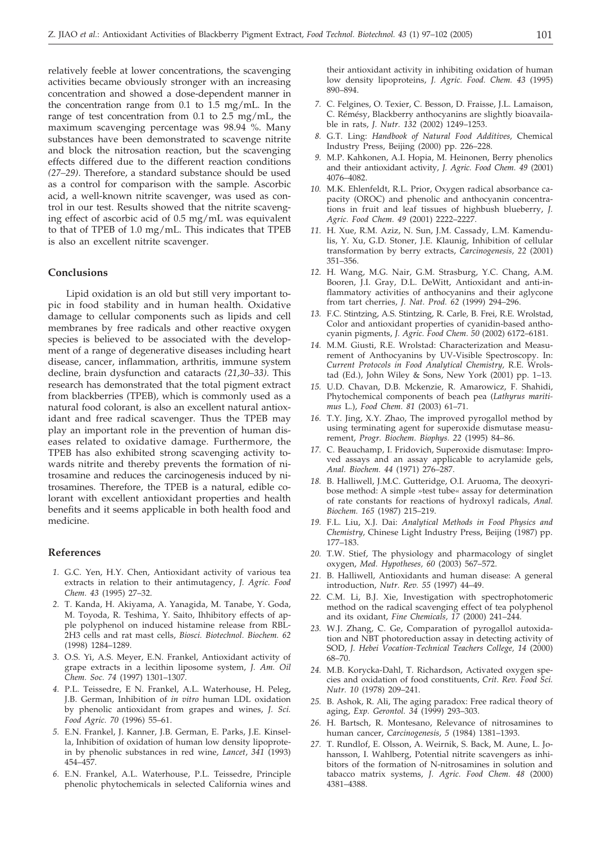relatively feeble at lower concentrations, the scavenging activities became obviously stronger with an increasing concentration and showed a dose-dependent manner in the concentration range from 0.1 to 1.5 mg/mL. In the range of test concentration from 0.1 to 2.5 mg/mL, the maximum scavenging percentage was 98.94 %. Many substances have been demonstrated to scavenge nitrite and block the nitrosation reaction, but the scavenging effects differed due to the different reaction conditions *(27–29)*. Therefore, a standard substance should be used as a control for comparison with the sample. Ascorbic acid, a well-known nitrite scavenger, was used as control in our test. Results showed that the nitrite scavenging effect of ascorbic acid of 0.5 mg/mL was equivalent to that of TPEB of 1.0 mg/mL. This indicates that TPEB is also an excellent nitrite scavenger.

#### **Conclusions**

Lipid oxidation is an old but still very important topic in food stability and in human health. Oxidative damage to cellular components such as lipids and cell membranes by free radicals and other reactive oxygen species is believed to be associated with the development of a range of degenerative diseases including heart disease, cancer, inflammation, arthritis, immune system decline, brain dysfunction and cataracts *(21,30–33)*. This research has demonstrated that the total pigment extract from blackberries (TPEB), which is commonly used as a natural food colorant, is also an excellent natural antioxidant and free radical scavenger. Thus the TPEB may play an important role in the prevention of human diseases related to oxidative damage. Furthermore, the TPEB has also exhibited strong scavenging activity towards nitrite and thereby prevents the formation of nitrosamine and reduces the carcinogenesis induced by nitrosamines. Therefore, the TPEB is a natural, edible colorant with excellent antioxidant properties and health benefits and it seems applicable in both health food and medicine.

#### **References**

- *1.* G.C. Yen, H.Y. Chen, Antioxidant activity of various tea extracts in relation to their antimutagency, *J. Agric. Food Chem. 43* (1995) 27–32.
- *2.* T. Kanda, H. Akiyama, A. Yanagida, M. Tanabe, Y. Goda, M. Toyoda, R. Teshima, Y. Saito, Ihhibitory effects of apple polyphenol on induced histamine release from RBL-2H3 cells and rat mast cells, *Biosci. Biotechnol. Biochem. 62* (1998) 1284–1289.
- *3.* O.S. Yi, A.S. Meyer, E.N. Frankel, Antioxidant activity of grape extracts in a lecithin liposome system, *J. Am. Oil Chem. Soc. 74* (1997) 1301–1307.
- *4.* P.L. Teissedre, E N. Frankel, A.L. Waterhouse, H. Peleg, J.B. German, Inhibition of *in vitro* human LDL oxidation by phenolic antioxidant from grapes and wines, *J. Sci. Food Agric. 70* (1996) 55–61.
- *5.* E.N. Frankel, J. Kanner, J.B. German, E. Parks, J.E. Kinsella, Inhibition of oxidation of human low density lipoprotein by phenolic substances in red wine, *Lancet*, *341* (1993) 454–457.
- *6.* E.N. Frankel, A.L. Waterhouse, P.L. Teissedre, Principle phenolic phytochemicals in selected California wines and

their antioxidant activity in inhibiting oxidation of human low density lipoproteins, *J. Agric. Food. Chem. 43* (1995) 890–894.

- *7.* C. Felgines, O. Texier, C. Besson, D. Fraisse, J.L. Lamaison, C. Rémésy, Blackberry anthocyanins are slightly bioavailable in rats, *J. Nutr. 132* (2002) 1249–1253.
- *8.* G.T. Ling: *Handbook of Natural Food Additives,* Chemical Industry Press, Beijing (2000) pp. 226–228.
- *9.* M.P. Kahkonen, A.I. Hopia, M. Heinonen, Berry phenolics and their antioxidant activity, *J. Agric. Food Chem. 49* (2001) 4076–4082.
- *10.* M.K. Ehlenfeldt, R.L. Prior, Oxygen radical absorbance capacity (OROC) and phenolic and anthocyanin concentrations in fruit and leaf tissues of highbush blueberry, *J. Agric. Food Chem. 49* (2001) 2222–2227.
- *11.* H. Xue, R.M. Aziz, N. Sun, J.M. Cassady, L.M. Kamendulis, Y. Xu, G.D. Stoner, J.E. Klaunig, Inhibition of cellular transformation by berry extracts, *Carcinogenesis, 22* (2001) 351–356.
- *12.* H. Wang, M.G. Nair, G.M. Strasburg, Y.C. Chang, A.M. Booren, J.I. Gray, D.L. DeWitt, Antioxidant and anti-inflammatory activities of anthocyanins and their aglycone from tart cherries, *J. Nat. Prod. 62* (1999) 294–296.
- *13.* F.C. Stintzing, A.S. Stintzing, R. Carle, B. Frei, R.E. Wrolstad, Color and antioxidant properties of cyanidin-based anthocyanin pigments, *J. Agric. Food Chem. 50* (2002) 6172–6181.
- *14.* M.M. Giusti, R.E. Wrolstad: Characterization and Measurement of Anthocyanins by UV-Visible Spectroscopy. In: *Current Protocols in Food Analytical Chemistry,* R.E. Wrolstad (Ed.), John Wiley & Sons, New York (2001) pp. 1–13.
- *15.* U.D. Chavan, D.B. Mckenzie, R. Amarowicz, F. Shahidi, Phytochemical components of beach pea (*Lathyrus maritimus* L.), *Food Chem. 81* (2003) 61–71.
- *16.* T.Y. Jing, X.Y. Zhao, The improved pyrogallol method by using terminating agent for superoxide dismutase measurement, *Progr. Biochem. Biophys. 22* (1995) 84–86.
- *17.* C. Beauchamp, I. Fridovich, Superoxide dismutase: Improved assays and an assay applicable to acrylamide gels, *Anal. Biochem. 44* (1971) 276–287.
- *18.* B. Halliwell, J.M.C. Gutteridge, O.I. Aruoma, The deoxyribose method: A simple »test tube« assay for determination of rate constants for reactions of hydroxyl radicals, *Anal. Biochem. 165* (1987) 215–219.
- *19.* F.L. Liu, X.J. Dai: *Analytical Methods in Food Physics and Chemistry,* Chinese Light Industry Press, Beijing (1987) pp. 177–183.
- *20.* T.W. Stief, The physiology and pharmacology of singlet oxygen, *Med. Hypotheses, 60* (2003) 567–572.
- *21.* B. Halliwell, Antioxidants and human disease: A general introduction, *Nutr. Rev. 55* (1997) 44–49.
- *22.* C.M. Li, B.J. Xie, Investigation with spectrophotomeric method on the radical scavenging effect of tea polyphenol and its oxidant, *Fine Chemicals, 17* (2000) 241–244.
- *23.* W.J. Zhang, C. Ge, Comparation of pyrogallol autoxidation and NBT photoreduction assay in detecting activity of SOD, *J. Hebei Vocation-Technical Teachers College, 14* (2000) 68–70.
- *24.* M.B. Korycka-Dahl, T. Richardson, Activated oxygen species and oxidation of food constituents, *Crit. Rev. Food Sci. Nutr. 10* (1978) 209–241.
- *25.* B. Ashok, R. Ali, The aging paradox: Free radical theory of aging, *Exp. Gerontol. 34* (1999) 293–303.
- *26.* H. Bartsch, R. Montesano, Relevance of nitrosamines to human cancer, *Carcinogenesis, 5* (1984) 1381–1393.
- *27.* T. Rundlof, E. Olsson, A. Weirnik, S. Back, M. Aune, L. Johansson, I. Wahlberg, Potential nitrite scavengers as inhibitors of the formation of N-nitrosamines in solution and tabacco matrix systems, *J. Agric. Food Chem. 48* (2000) 4381–4388.